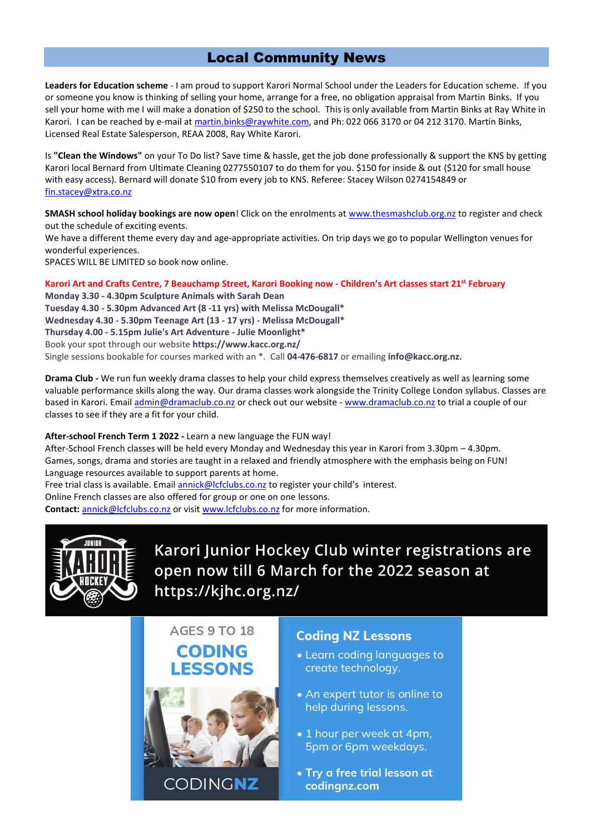## Local Community News

**Leaders for Education scheme** - I am proud to support Karori Normal School under the Leaders for Education scheme. If you or someone you know is thinking of selling your home, arrange for a free, no obligation appraisal from Martin Binks. If you sell your home with me I will make a donation of \$250 to the school. This is only available from Martin Binks at Ray White in Karori. I can be reached by e-mail at [martin.binks@raywhite.com,](mailto:martin.binks@raywhite.com) and Ph: 022 066 3170 or 04 212 3170. Martin Binks, Licensed Real Estate Salesperson, REAA 2008, Ray White Karori.

Is **"Clean the Windows"** on your To Do list? Save time & hassle, get the job done professionally & support the KNS by getting Karori local Bernard from Ultimate Cleaning 0277550107 to do them for you. \$150 for inside & out (\$120 for small house with easy access). Bernard will donate \$10 from every job to KNS. Referee: Stacey Wilson 0274154849 or [fin.stacey@xtra.co.nz](mailto:fin.stacey@xtra.co.nz)

**SMASH school holiday bookings are now open**! Click on the enrolments at [www.thesmashclub.org.nz](http://www.thesmashclub.org.nz/) to register and check out the schedule of exciting events.

We have a different theme every day and age-appropriate activities. On trip days we go to popular Wellington venues for wonderful experiences.

SPACES WILL BE LIMITED so book now online.

**Karori Art and Crafts Centre, 7 Beauchamp Street, Karori Booking now - Children's Art classes start 21st February**

**Monday 3.30 - 4.30pm Sculpture Animals with Sarah Dean Tuesday 4.30 - 5.30pm Advanced Art (8 -11 yrs) with Melissa McDougall\* Wednesday 4.30 - 5.30pm Teenage Art (13 - 17 yrs) - Melissa McDougall\* Thursday 4.00 - 5.15pm Julie's Art Adventure - Julie Moonlight\*** Book your spot through our website **https://www.kacc.org.nz/** Single sessions bookable for courses marked with an \*. Call **04-476-6817** or emailing **info@kacc.org.nz.**

**Drama Club -** We run fun weekly drama classes to help your child express themselves creatively as well as learning some valuable performance skills along the way. Our drama classes work alongside the Trinity College London syllabus. Classes are based in Karori. Emai[l admin@dramaclub.co.nz](mailto:admin@dramaclub.co.nz) or check out our website - [www.dramaclub.co.nz](http://www.dramaclub.co.nz/) to trial a couple of our classes to see if they are a fit for your child.

## **After-school French Term 1 2022 -** Learn a new language the FUN way!

After-School French classes will be held every Monday and Wednesday this year in Karori from 3.30pm – 4.30pm. Games, songs, drama and stories are taught in a relaxed and friendly atmosphere with the emphasis being on FUN! Language resources available to support parents at home.

Free trial class is available. Emai[l annick@lcfclubs.co.nz](mailto:annick@lcfclubs.co.nz) to register your child's interest.

Online French classes are also offered for group or one on one lessons.

**Contact:** [annick@lcfclubs.co.nz](mailto:annick@lcfclubs.co.nz) or visit [www.lcfclubs.co.nz](http://www.lcfclubs.co.nz/) for more information.



Karori Junior Hockey Club winter registrations are open now till 6 March for the 2022 season at https://kihc.org.nz/



## **Coding NZ Lessons**

- Learn coding languages to create technology.
- An expert tutor is online to help during lessons.
- 1 hour per week at 4pm. 5pm or 6pm weekdays.
- Try a free trial lesson at codingnz.com